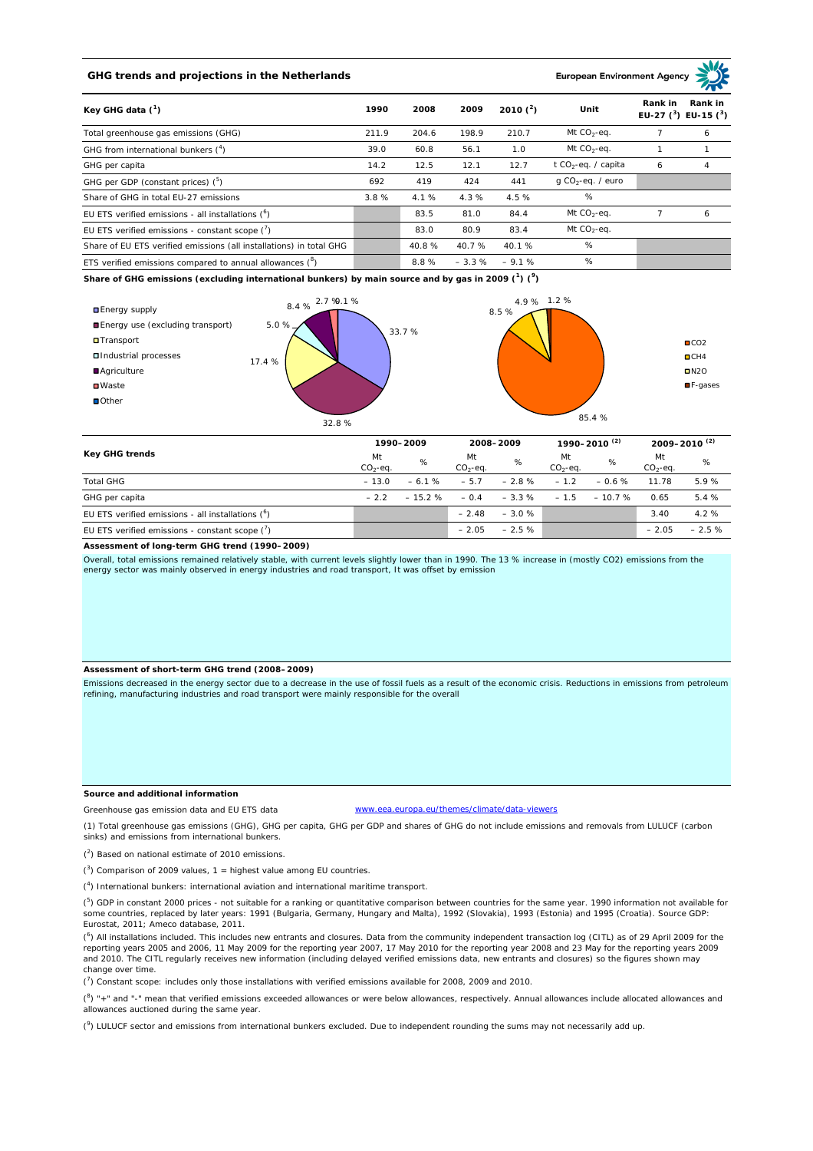# **GHG trends and projections in the Netherlands**

### **European Environment Ag**

| Key GHG data $(^1)$                                                 |       | 2008  | 2009    | 2010 $(^{2})$ | Unit                            | Rank in<br>Rank in<br>EU-27 $(^3)$ EU-15 $(^3)$ |   |
|---------------------------------------------------------------------|-------|-------|---------|---------------|---------------------------------|-------------------------------------------------|---|
| Total greenhouse gas emissions (GHG)                                | 211.9 | 204.6 | 198.9   | 210.7         | Mt $CO_2$ -eq.                  |                                                 | 6 |
| GHG from international bunkers $(^4)$                               | 39.0  | 60.8  | 56.1    | 1.0           | Mt $CO_2$ -eq.                  |                                                 |   |
| GHG per capita                                                      | 14.2  | 12.5  | 12.1    | 12.7          | t CO <sub>2</sub> -eq. / capita | 6                                               | 4 |
| GHG per GDP (constant prices) $(^5)$                                | 692   | 419   | 424     | 441           | $q$ CO <sub>2</sub> -eq. / euro |                                                 |   |
| Share of GHG in total EU-27 emissions                               | 3.8%  | 4.1 % | 4.3%    | 4.5 %         | %                               |                                                 |   |
| EU ETS verified emissions - all installations $(^{\circ})$          |       | 83.5  | 81.0    | 84.4          | Mt $CO_2$ -eq.                  |                                                 | 6 |
| EU ETS verified emissions - constant scope $(7)$                    |       | 83.0  | 80.9    | 83.4          | Mt $CO_2$ -eq.                  |                                                 |   |
| Share of EU ETS verified emissions (all installations) in total GHG |       | 40.8% | 40.7 %  | 40.1%         | %                               |                                                 |   |
| ETS verified emissions compared to annual allowances $(^8)$         |       | 8.8%  | $-3.3%$ | $-9.1%$       | %                               |                                                 |   |

**Share of GHG emissions (excluding international bunkers) by main source and by gas in 2009 (<sup>1</sup> ) (<sup>9</sup> )**



| Key GHG trends                                       | 1990-2009       |          | 2008-2009       |          | 1990–2010 <sup>(2)</sup> |           | $2009 - 2010^{(2)}$ |         |
|------------------------------------------------------|-----------------|----------|-----------------|----------|--------------------------|-----------|---------------------|---------|
|                                                      | Mt<br>$CO2-eq.$ | %        | Mt<br>$CO2-eq.$ | %        | Mt<br>$CO2-eq.$          | %         | Mt<br>$CO2-ea$ .    | %       |
| <b>Total GHG</b>                                     | $-13.0$         | $-6.1%$  | $-5.7$          | $-2.8%$  | $-1.2$                   | $-0.6 \%$ | 11.78               | 5.9%    |
| GHG per capita                                       | $-22$           | $-15.2%$ | $-0.4$          | $-3.3\%$ | $-1.5$                   | $-10.7%$  | 0.65                | 5.4 %   |
| EU ETS verified emissions - all installations $(^6)$ |                 |          | $-2.48$         | $-3.0%$  |                          |           | 3.40                | 4.2%    |
| EU ETS verified emissions - constant scope $(7)$     |                 |          | $-2.05$         | $-2.5%$  |                          |           | $-2.05$             | $-2.5%$ |

# **Assessment of long-term GHG trend (1990–2009)**

Overall, total emissions remained relatively stable, with current levels slightly lower than in 1990. The 13 % increase in (mostly CO2) emissions from the energy sector was mainly observed in energy industries and road transport, It was offset by emission

#### **Assessment of short-term GHG trend (2008–2009)**

Emissions decreased in the energy sector due to a decrease in the use of fossil fuels as a result of the economic crisis. Reductions in emissions from petroleum refining, manufacturing industries and road transport were mainly responsible for the overall

#### **Source and additional information**

www.eea.europa.eu/themes/climate/data-viewers

(1) Total greenhouse gas emissions (GHG), GHG per capita, GHG per GDP and shares of GHG do not include emissions and removals from LULUCF (carbon sinks) and emissions from international bunkers.

( 2 ) Based on national estimate of 2010 emissions.

Greenhouse gas emission data and EU ETS data

 $(3)$  Comparison of 2009 values, 1 = highest value among EU countries.

( 4 ) International bunkers: international aviation and international maritime transport.

 $(^{5})$  GDP in constant 2000 prices - not suitable for a ranking or quantitative comparison between countries for the same year. 1990 information not available for some countries, replaced by later years: 1991 (Bulgaria, Germany, Hungary and Malta), 1992 (Slovakia), 1993 (Estonia) and 1995 (Croatia). Source GDP: Eurostat, 2011; Ameco database, 2011.

(<sup>6</sup>) All installations included. This includes new entrants and closures. Data from the community independent transaction log (CITL) as of 29 April 2009 for the<br>reporting years 2005 and 2006, 11 May 2009 for the reporting and 2010. The CITL regularly receives new information (including delayed verified emissions data, new entrants and closures) so the figures shown may change over time.

 $\binom{7}{1}$  Constant scope: includes only those installations with verified emissions available for 2008, 2009 and 2010.

 $(^{8}$ ) " $+$ " and "-" mean that verified emissions exceeded allowances or were below allowances, respectively. Annual allowances include allocated allowances and allowances auctioned during the same year.

 $(2)$  LULUCF sector and emissions from international bunkers excluded. Due to independent rounding the sums may not necessarily add up.